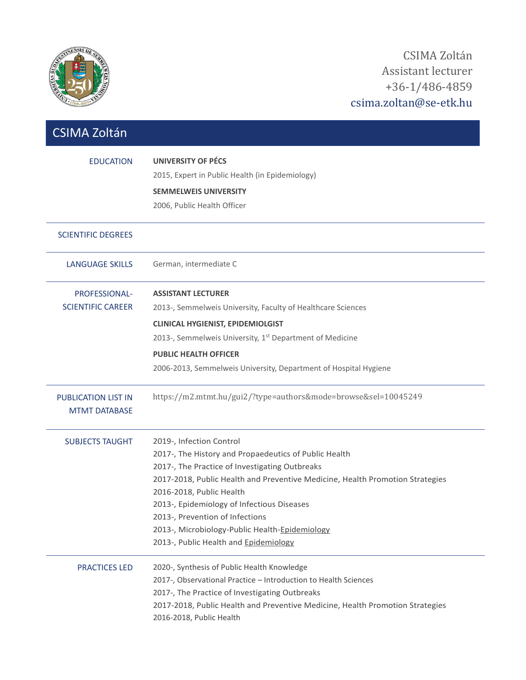

| <b>CSIMA Zoltán</b>                                |                                                                                                                                                                                                                                                                                                                                                                                                                              |
|----------------------------------------------------|------------------------------------------------------------------------------------------------------------------------------------------------------------------------------------------------------------------------------------------------------------------------------------------------------------------------------------------------------------------------------------------------------------------------------|
| <b>EDUCATION</b>                                   | <b>UNIVERSITY OF PÉCS</b><br>2015, Expert in Public Health (in Epidemiology)<br><b>SEMMELWEIS UNIVERSITY</b><br>2006, Public Health Officer                                                                                                                                                                                                                                                                                  |
| <b>SCIENTIFIC DEGREES</b>                          |                                                                                                                                                                                                                                                                                                                                                                                                                              |
| <b>LANGUAGE SKILLS</b>                             | German, intermediate C                                                                                                                                                                                                                                                                                                                                                                                                       |
| PROFESSIONAL-<br><b>SCIENTIFIC CAREER</b>          | <b>ASSISTANT LECTURER</b><br>2013-, Semmelweis University, Faculty of Healthcare Sciences<br><b>CLINICAL HYGIENIST, EPIDEMIOLGIST</b><br>2013-, Semmelweis University, 1 <sup>st</sup> Department of Medicine<br><b>PUBLIC HEALTH OFFICER</b><br>2006-2013, Semmelweis University, Department of Hospital Hygiene                                                                                                            |
| <b>PUBLICATION LIST IN</b><br><b>MTMT DATABASE</b> | https://m2.mtmt.hu/gui2/?type=authors&mode=browse&sel=10045249                                                                                                                                                                                                                                                                                                                                                               |
| <b>SUBJECTS TAUGHT</b>                             | 2019-, Infection Control<br>2017-, The History and Propaedeutics of Public Health<br>2017-, The Practice of Investigating Outbreaks<br>2017-2018, Public Health and Preventive Medicine, Health Promotion Strategies<br>2016-2018, Public Health<br>2013-, Epidemiology of Infectious Diseases<br>2013-, Prevention of Infections<br>2013-, Microbiology-Public Health-Epidemiology<br>2013-, Public Health and Epidemiology |
| <b>PRACTICES LED</b>                               | 2020-, Synthesis of Public Health Knowledge<br>2017-, Observational Practice - Introduction to Health Sciences<br>2017-, The Practice of Investigating Outbreaks<br>2017-2018, Public Health and Preventive Medicine, Health Promotion Strategies<br>2016-2018, Public Health                                                                                                                                                |